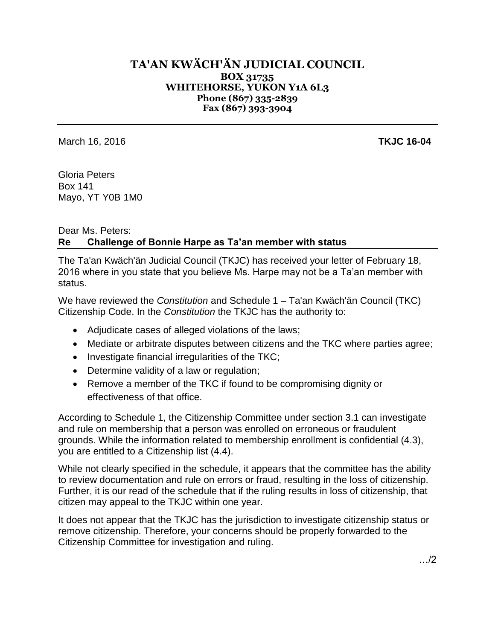## **TA'AN KWÄCH'ÄN JUDICIAL COUNCIL BOX 31735 WHITEHORSE, YUKON Y1A 6L3 Phone (867) 335-2839 Fax (867) 393-3904**

March 16, 2016 **TKJC 16-04**

Gloria Peters Box 141 Mayo, YT Y0B 1M0

## Dear Ms. Peters: **Re Challenge of Bonnie Harpe as Ta'an member with status**

The Ta'an Kwäch'än Judicial Council (TKJC) has received your letter of February 18, 2016 where in you state that you believe Ms. Harpe may not be a Ta'an member with status.

We have reviewed the *Constitution* and Schedule 1 – Ta'an Kwäch'än Council (TKC) Citizenship Code. In the *Constitution* the TKJC has the authority to:

- Adjudicate cases of alleged violations of the laws;
- Mediate or arbitrate disputes between citizens and the TKC where parties agree;
- $\bullet$  Investigate financial irregularities of the TKC;
- Determine validity of a law or regulation;
- Remove a member of the TKC if found to be compromising dignity or effectiveness of that office.

According to Schedule 1, the Citizenship Committee under section 3.1 can investigate and rule on membership that a person was enrolled on erroneous or fraudulent grounds. While the information related to membership enrollment is confidential (4.3), you are entitled to a Citizenship list (4.4).

While not clearly specified in the schedule, it appears that the committee has the ability to review documentation and rule on errors or fraud, resulting in the loss of citizenship. Further, it is our read of the schedule that if the ruling results in loss of citizenship, that citizen may appeal to the TKJC within one year.

It does not appear that the TKJC has the jurisdiction to investigate citizenship status or remove citizenship. Therefore, your concerns should be properly forwarded to the Citizenship Committee for investigation and ruling.